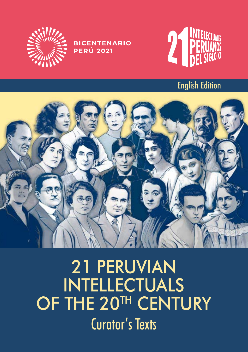

**BICENTENARIO PERÚ 2021** 



#### English Edition



# 21 PERUVIAN INTELLECTUALS OF THE 20<sup>TH</sup> CENTURY Curator's Texts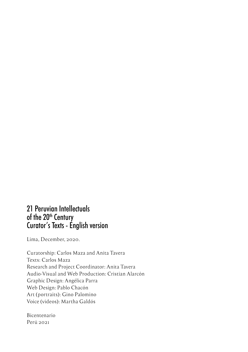#### 21 Peruvian Intellectuals of the 20<sup>th</sup> Century Curator's Texts - English version

Lima, December, 2020.

Curatorship: Carlos Maza and Anita Tavera Texts: Carlos Maza Research and Project Coordinator: Anita Tavera Audio-Visual and Web Production: Cristian Alarcón Graphic Design: Angélica Parra Web Design: Pablo Chacón Art (portraits): Gino Palomino Voice (videos): Martha Galdós

Bicentenario Perú 2021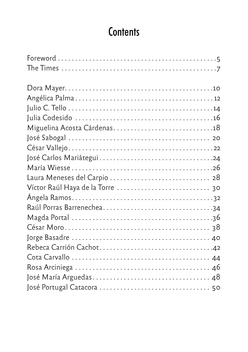# **Contents**

| Miguelina Acosta Cárdenas18  |
|------------------------------|
|                              |
|                              |
|                              |
|                              |
| Laura Meneses del Carpio  28 |
|                              |
|                              |
| Raúl Porras Barrenechea34    |
|                              |
|                              |
|                              |
|                              |
|                              |
|                              |
|                              |
|                              |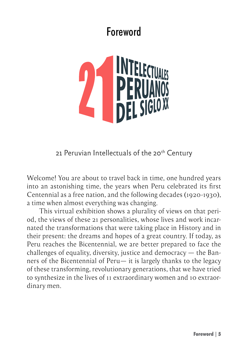#### Foreword

<span id="page-4-0"></span>

21 Peruvian Intellectuals of the 20<sup>th</sup> Century

Welcome! You are about to travel back in time, one hundred years into an astonishing time, the years when Peru celebrated its first Centennial as a free nation, and the following decades (1920-1930), a time when almost everything was changing.

This virtual exhibition shows a plurality of views on that period, the views of these 21 personalities, whose lives and work incarnated the transformations that were taking place in History and in their present: the dreams and hopes of a great country. If today, as Peru reaches the Bicentennial, we are better prepared to face the challenges of equality, diversity, justice and democracy — the Banners of the Bicentennial of Peru— it is largely thanks to the legacy of these transforming, revolutionary generations, that we have tried to synthesize in the lives of 11 extraordinary women and 10 extraordinary men.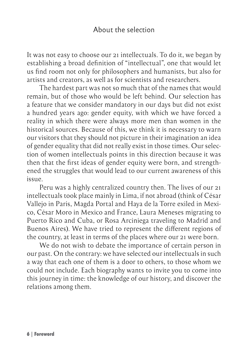#### About the selection

It was not easy to choose our 21 intellectuals. To do it, we began by establishing a broad definition of "intellectual", one that would let us find room not only for philosophers and humanists, but also for artists and creators, as well as for scientists and researchers.

The hardest part was not so much that of the names that would remain, but of those who would be left behind. Our selection has a feature that we consider mandatory in our days but did not exist a hundred years ago: gender equity, with which we have forced a reality in which there were always more men than women in the historical sources. Because of this, we think it is necessary to warn our visitors that they should not picture in their imagination an idea of gender equality that did not really exist in those times. Our selection of women intellectuals points in this direction because it was then that the first ideas of gender equity were born, and strengthened the struggles that would lead to our current awareness of this issue.

Peru was a highly centralized country then. The lives of our 21 intellectuals took place mainly in Lima, if not abroad (think of César Vallejo in Paris, Magda Portal and Haya de la Torre exiled in Mexico, César Moro in Mexico and France, Laura Meneses migrating to Puerto Rico and Cuba, or Rosa Arciniega traveling to Madrid and Buenos Aires). We have tried to represent the different regions of the country, at least in terms of the places where our 21 were born.

We do not wish to debate the importance of certain person in our past. On the contrary: we have selected our intellectuals in such a way that each one of them is a door to others, to those whom we could not include. Each biography wants to invite you to come into this journey in time: the knowledge of our history, and discover the relations among them.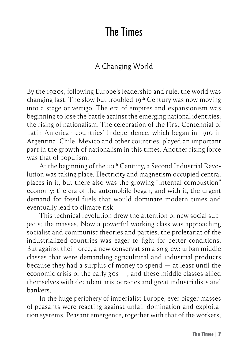### The Times

#### A Changing World

<span id="page-6-0"></span>By the 1920s, following Europe's leadership and rule, the world was changing fast. The slow but troubled 19th Century was now moving into a stage or vertigo. The era of empires and expansionism was beginning to lose the battle against the emerging national identities: the rising of nationalism. The celebration of the First Centennial of Latin American countries' Independence, which began in 1910 in Argentina, Chile, Mexico and other countries, played an important part in the growth of nationalism in this times. Another rising force was that of populism.

At the beginning of the 20<sup>th</sup> Century, a Second Industrial Revolution was taking place. Electricity and magnetism occupied central places in it, but there also was the growing "internal combustion" economy: the era of the automobile began, and with it, the urgent demand for fossil fuels that would dominate modern times and eventually lead to climate risk.

This technical revolution drew the attention of new social subjects: the masses. Now a powerful working class was approaching socialist and communist theories and parties; the proletariat of the industrialized countries was eager to fight for better conditions. But against their force, a new conservatism also grew: urban middle classes that were demanding agricultural and industrial products because they had a surplus of money to spend — at least until the economic crisis of the early 30s —, and these middle classes allied themselves with decadent aristocracies and great industrialists and bankers.

In the huge periphery of imperialist Europe, ever bigger masses of peasants were reacting against unfair domination and exploitation systems. Peasant emergence, together with that of the workers,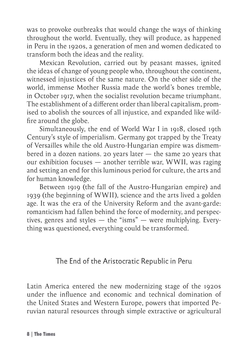was to provoke outbreaks that would change the ways of thinking throughout the world. Eventually, they will produce, as happened in Peru in the 1920s, a generation of men and women dedicated to transform both the ideas and the reality.

Mexican Revolution, carried out by peasant masses, ignited the ideas of change of young people who, throughout the continent, witnessed injustices of the same nature. On the other side of the world, immense Mother Russia made the world's bones tremble, in October 1917, when the socialist revolution became triumphant. The establishment of a different order than liberal capitalism, promised to abolish the sources of all injustice, and expanded like wildfire around the globe.

Simultaneously, the end of World War I in 1918, closed 19th Century's style of imperialism. Germany got trapped by the Treaty of Versailles while the old Austro-Hungarian empire was dismembered in a dozen nations. 20 years later — the same 20 years that our exhibition focuses — another terrible war, WWII, was raging and setting an end for this luminous period for culture, the arts and for human knowledge.

Between 1919 (the fall of the Austro-Hungarian empire) and 1939 (the beginning of WWII), science and the arts lived a golden age. It was the era of the University Reform and the avant-garde: romanticism had fallen behind the force of modernity, and perspectives, genres and styles — the "isms" — were multiplying. Everything was questioned, everything could be transformed.

#### The End of the Aristocratic Republic in Peru

Latin America entered the new modernizing stage of the 1920s under the influence and economic and technical domination of the United States and Western Europe, powers that imported Peruvian natural resources through simple extractive or agricultural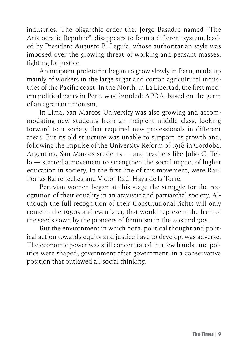industries. The oligarchic order that Jorge Basadre named "The Aristocratic Republic", disappears to form a different system, leaded by President Augusto B. Leguía, whose authoritarian style was imposed over the growing threat of working and peasant masses, fighting for justice.

An incipient proletariat began to grow slowly in Peru, made up mainly of workers in the large sugar and cotton agricultural industries of the Pacific coast. In the North, in La Libertad, the first modern political party in Peru, was founded: APRA, based on the germ of an agrarian unionism.

In Lima, San Marcos University was also growing and accommodating new students from an incipient middle class, looking forward to a society that required new professionals in different areas. But its old structure was unable to support its growth and, following the impulse of the University Reform of 1918 in Cordoba, Argentina, San Marcos students — and teachers like Julio C. Tello — started a movement to strengthen the social impact of higher education in society. In the first line of this movement, were Raúl Porras Barrenechea and Víctor Raúl Haya de la Torre.

Peruvian women began at this stage the struggle for the recognition of their equality in an atavistic and patriarchal society. Although the full recognition of their Constitutional rights will only come in the 1950s and even later, that would represent the fruit of the seeds sown by the pioneers of feminism in the 20s and 30s.

But the environment in which both, political thought and political action towards equity and justice have to develop, was adverse. The economic power was still concentrated in a few hands, and politics were shaped, government after government, in a conservative position that outlawed all social thinking.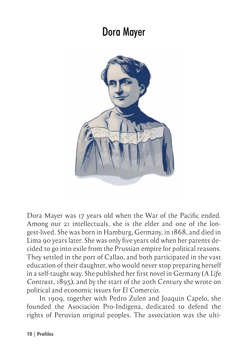#### Dora Mayer

<span id="page-9-0"></span>

Dora Mayer was 17 years old when the War of the Pacific ended. Among our 21 intellectuals, she is the elder and one of the longest-lived. She was born in Hamburg, Germany, in 1868, and died in Lima 90 years later. She was only five years old when her parents decided to go into exile from the Prussian empire for political reasons. They settled in the port of Callao, and both participated in the vast education of their daughter, who would never stop preparing herself in a self-taught way. She published her first novel in Germany (*A Life Contrast*, 1895), and by the start of the 20th Century she wrote on political and economic issues for *El Comercio*.

In 1909, together with Pedro Zulen and Joaquín Capelo, she founded the Asociación Pro-Indígena, dedicated to defend the rights of Peruvian original peoples. The association was the ulti-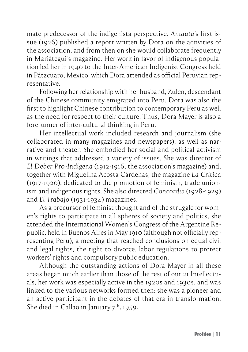mate predecessor of the indigenista perspective. *Amauta*'s first issue (1926) published a report written by Dora on the activities of the association, and from then on she would collaborate frequently in Mariátegui's magazine. Her work in favor of indigenous population led her in 1940 to the Inter-American Indigenist Congress held in Pátzcuaro, Mexico, which Dora attended as official Peruvian representative.

Following her relationship with her husband, Zulen, descendant of the Chinese community emigrated into Peru, Dora was also the first to highlight Chinese contribution to contemporary Peru as well as the need for respect to their culture. Thus, Dora Mayer is also a forerunner of inter-cultural thinking in Peru.

Her intellectual work included research and journalism (she collaborated in many magazines and newspapers), as well as narrative and theater. She embodied her social and political activism in writings that addressed a variety of issues. She was director of *El Deber Pro-Indígena* (1912-1916, the association's magazine) and, together with Miguelina Acosta Cárdenas, the magazine *La Crítica* (1917-1920), dedicated to the promotion of feminism, trade unionism and indigenous rights. She also directed *Concordia* (1928-1929) and *El Trabajo* (1931-1934) magazines.

As a precursor of feminist thought and of the struggle for women's rights to participate in all spheres of society and politics, she attended the International Women's Congress of the Argentine Republic, held in Buenos Aires in May 1910 (although not officially representing Peru), a meeting that reached conclusions on equal civil and legal rights, the right to divorce, labor regulations to protect workers' rights and compulsory public education.

Although the outstanding actions of Dora Mayer in all these areas began much earlier than those of the rest of our 21 Intellectuals, her work was especially active in the 1920s and 1930s, and was linked to the various networks formed then: she was a pioneer and an active participant in the debates of that era in transformation. She died in Callao in January  $7<sup>th</sup>$ , 1959.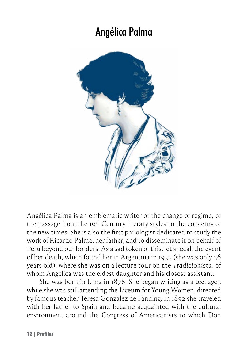### Angélica Palma

<span id="page-11-0"></span>

Angélica Palma is an emblematic writer of the change of regime, of the passage from the 19<sup>th</sup> Century literary styles to the concerns of the new times. She is also the first philologist dedicated to study the work of Ricardo Palma, her father, and to disseminate it on behalf of Peru beyond our borders. As a sad token of this, let's recall the event of her death, which found her in Argentina in 1935 (she was only 56 years old), where she was on a lecture tour on the *Tradicionista*, of whom Angélica was the eldest daughter and his closest assistant.

She was born in Lima in 1878. She began writing as a teenager, while she was still attending the Liceum for Young Women, directed by famous teacher Teresa González de Fanning. In 1892 she traveled with her father to Spain and became acquainted with the cultural environment around the Congress of Americanists to which Don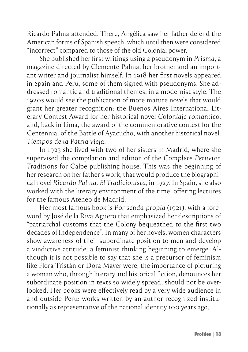Ricardo Palma attended. There, Angélica saw her father defend the American forms of Spanish speech, which until then were considered "incorrect" compared to those of the old Colonial power.

She published her first writings using a pseudonym in *Prisma*, a magazine directed by Clemente Palma, her brother and an important writer and journalist himself. In 1918 her first novels appeared in Spain and Peru, some of them signed with pseudonyms. She addressed romantic and traditional themes, in a modernist style. The 1920s would see the publication of more mature novels that would grant her greater recognition: the Buenos Aires International Literary Contest Award for her historical novel *Coloniaje romántico*, and, back in Lima, the award of the commemorative contest for the Centennial of the Battle of Ayacucho, with another historical novel: *Tiempos de la Patria vieja*.

In 1923 she lived with two of her sisters in Madrid, where she supervised the compilation and edition of the *Complete Peruvian Traditions* for Calpe publishing house. This was the beginning of her research on her father's work, that would produce the biographical novel *Ricardo Palma. El Tradicionista*, in 1927. In Spain, she also worked with the literary environment of the time, offering lectures for the famous Ateneo de Madrid.

Her most famous book is *Por senda propia* (1921), with a foreword by José de la Riva Agüero that emphasized her descriptions of "patriarchal customs that the Colony bequeathed to the first two decades of Independence". In many of her novels, women characters show awareness of their subordinate position to men and develop a vindictive attitude: a feminist thinking beginning to emerge. Although it is not possible to say that she is a precursor of feminism like Flora Tristán or Dora Mayer were, the importance of picturing a woman who, through literary and historical fiction, denounces her subordinate position in texts so widely spread, should not be overlooked. Her books were effectively read by a very wide audience in and outside Peru: works written by an author recognized institutionally as representative of the national identity 100 years ago.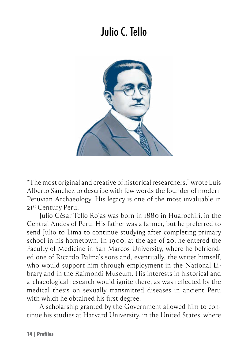## Julio C. Tello

<span id="page-13-0"></span>

"The most original and creative of historical researchers," wrote Luis Alberto Sánchez to describe with few words the founder of modern Peruvian Archaeology. His legacy is one of the most invaluable in 21st Century Peru.

Julio César Tello Rojas was born in 1880 in Huarochirí, in the Central Andes of Peru. His father was a farmer, but he preferred to send Julio to Lima to continue studying after completing primary school in his hometown. In 1900, at the age of 20, he entered the Faculty of Medicine in San Marcos University, where he befriended one of Ricardo Palma's sons and, eventually, the writer himself, who would support him through employment in the National Library and in the Raimondi Museum. His interests in historical and archaeological research would ignite there, as was reflected by the medical thesis on sexually transmitted diseases in ancient Peru with which he obtained his first degree.

A scholarship granted by the Government allowed him to continue his studies at Harvard University, in the United States, where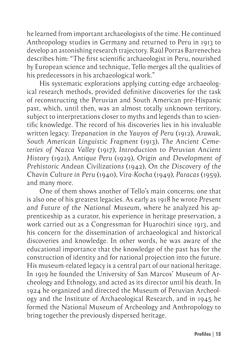he learned from important archaeologists of the time. He continued Anthropology studies in Germany and returned to Peru in 1913 to develop an astonishing research trajectory. Raúl Porras Barrenechea describes him: "The first scientific archaeologist in Peru, nourished by European science and technique, Tello merges all the qualities of his predecessors in his archaeological work."

His systematic explorations applying cutting-edge archaeological research methods, provided definitive discoveries for the task of reconstructing the Peruvian and South American pre-Hispanic past, which, until then, was an almost totally unknown territory, subject to interpretations closer to myths and legends than to scientific knowledge. The record of his discoveries lies in his invaluable written legacy: *Trepanation in the Yauyos of Peru* (1912), *Arawak, South American Linguistic Fragment* (1913), *The Ancient Cemeteries of Nazca Valley* (1917), *Introduction to Peruvian Ancient History* (1921), *Antique Peru* (1929), *Origin and Development of Prehistoric Andean Civilizations* (1942), *On the Discovery of the Chavín Culture in Peru* (1940), *Vira-Kocha* (1949), *Paracas* (1959), and many more.

One of them shows another of Tello's main concerns; one that is also one of his greatest legacies. As early as 1918 he wrote *Present and Future of the National Museum*, where he analyzed his apprenticeship as a curator, his experience in heritage preservation, a work carried out as a Congressman for Huarochirí since 1913, and his concern for the dissemination of archaeological and historical discoveries and knowledge. In other words, he was aware of the educational importance that the knowledge of the past has for the construction of identity and for national projection into the future. His museum-related legacy is a central part of our national heritage. In 1919 he founded the University of San Marcos' Museum of Archeology and Ethnology, and acted as its director until his death. In 1924 he organized and directed the Museum of Peruvian Archeology and the Institute of Archaeological Research, and in 1945 he formed the National Museum of Archeology and Anthropology to bring together the previously dispersed heritage.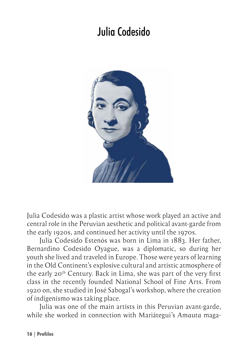## <span id="page-15-0"></span>Julia Codesido



Julia Codesido was a plastic artist whose work played an active and central role in the Peruvian aesthetic and political avant-garde from the early 1920s, and continued her activity until the 1970s.

Julia Codesido Estenós was born in Lima in 1883. Her father, Bernardino Codesido Oyague, was a diplomatic, so during her youth she lived and traveled in Europe. Those were years of learning in the Old Continent's explosive cultural and artistic atmosphere of the early 20th Century. Back in Lima, she was part of the very first class in the recently founded National School of Fine Arts. From 1920 on, she studied in José Sabogal's workshop, where the creation of *indigenismo* was taking place.

Julia was one of the main artists in this Peruvian avant-garde, while she worked in connection with Mariátegui's *Amauta* maga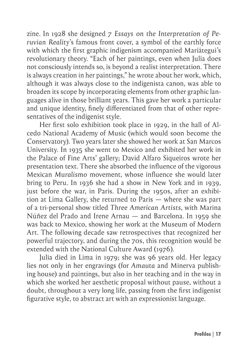zine. In 1928 she designed *7 Essays on the Interpretation of Peruvian Reality*'s famous front cover, a symbol of the earthly force with which the first graphic indigenism accompanied Mariátegui's revolutionary theory. "Each of her paintings, even when Julia does not consciously intends so, is beyond a realist interpretation. There is always creation in her paintings," he wrote about her work, which, although it was always close to the indigenista canon, was able to broaden its scope by incorporating elements from other graphic languages alive in those brilliant years. This gave her work a particular and unique identity, finely differentiated from that of other representatives of the indigenist style.

Her first solo exhibition took place in 1929, in the hall of Alcedo National Academy of Music (which would soon become the Conservatory). Two years later she showed her work at San Marcos University. In 1935 she went to Mexico and exhibited her work in the Palace of Fine Arts' gallery; David Alfaro Siqueiros wrote her presentation text. There she absorbed the influence of the vigorous Mexican *Muralismo* movement, whose influence she would later bring to Peru. In 1936 she had a show in New York and in 1939, just before the war, in Paris. During the 1950s, after an exhibition at Lima Gallery, she returned to Paris — where she was part of a tri-personal show titled *Three American Artists*, with Marina Núñez del Prado and Irene Arnau — and Barcelona. In 1959 she was back to Mexico, showing her work at the Museum of Modern Art. The following decade saw retrospectives that recognized her powerful trajectory, and during the 70s, this recognition would be extended with the National Culture Award (1976).

Julia died in Lima in 1979; she was 96 years old. Her legacy lies not only in her engravings (for *Amauta* and Minerva publishing house) and paintings, but also in her teaching and in the way in which she worked her aesthetic proposal without pause, without a doubt, throughout a very long life, passing from the first indigenist figurative style, to abstract art with an expressionist language.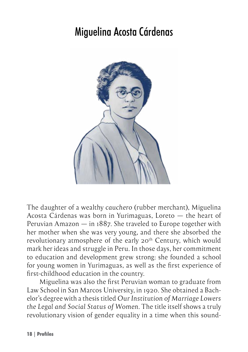#### <span id="page-17-0"></span>Miguelina Acosta Cárdenas



The daughter of a wealthy *cauchero* (rubber merchant), Miguelina Acosta Cárdenas was born in Yurimaguas, Loreto — the heart of Peruvian Amazon — in 1887. She traveled to Europe together with her mother when she was very young, and there she absorbed the revolutionary atmosphere of the early 20<sup>th</sup> Century, which would mark her ideas and struggle in Peru. In those days, her commitment to education and development grew strong: she founded a school for young women in Yurimaguas, as well as the first experience of first-childhood education in the country.

Miguelina was also the first Peruvian woman to graduate from Law School in San Marcos University, in 1920. She obtained a Bachelor's degree with a thesis titled *Our Institution of Marriage Lowers the Legal and Social Status of Women*. The title itself shows a truly revolutionary vision of gender equality in a time when this sound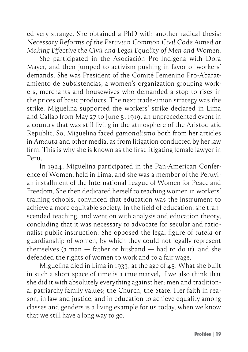ed very strange. She obtained a PhD with another radical thesis: *Necessary Reforms of the Peruvian Common Civil Code Aimed at Making Effective the Civil and Legal Equality of Men and Women*.

She participated in the Asociación Pro-Indígena with Dora Mayer, and then jumped to activism pushing in favor of workers' demands. She was President of the Comité Femenino Pro-Abaratamiento de Subsistencias, a women's organization grouping workers, merchants and housewives who demanded a stop to rises in the prices of basic products. The next trade-union strategy was the strike. Miguelina supported the workers' strike declared in Lima and Callao from May 27 to June 5, 1919, an unprecedented event in a country that was still living in the atmosphere of the Aristocratic Republic. So, Miguelina faced *gamonalismo* both from her articles in *Amauta* and other media, as from litigation conducted by her law firm. This is why she is known as the first litigating female lawyer in Peru.

In 1924, Miguelina participated in the Pan-American Conference of Women, held in Lima, and she was a member of the Peruvian installment of the International League of Women for Peace and Freedom. She then dedicated herself to teaching women in workers' training schools, convinced that education was the instrument to achieve a more equitable society. In the field of education, she transcended teaching, and went on with analysis and education theory, concluding that it was necessary to advocate for secular and rationalist public instruction. She opposed the legal figure of *tutela* or guardianship of women, by which they could not legally represent themselves (a man — father or husband — had to do it), and she defended the rights of women to work and to a fair wage.

Miguelina died in Lima in 1933, at the age of 45. What she built in such a short space of time is a true marvel, if we also think that she did it with absolutely everything against her: men and traditional patriarchy family values; the Church, the State. Her faith in reason, in law and justice, and in education to achieve equality among classes and genders is a living example for us today, when we know that we still have a long way to go.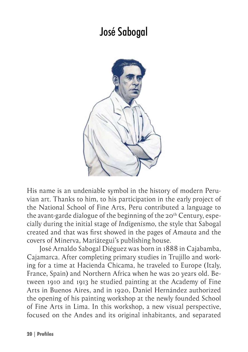#### José Sabogal

<span id="page-19-0"></span>

His name is an undeniable symbol in the history of modern Peruvian art. Thanks to him, to his participation in the early project of the National School of Fine Arts, Peru contributed a language to the avant-garde dialogue of the beginning of the  $20<sup>th</sup>$  Century, especially during the initial stage of *Indigenismo*, the style that Sabogal created and that was first showed in the pages of *Amauta* and the covers of Minerva, Mariátegui's publishing house.

José Arnaldo Sabogal Diéguez was born in 1888 in Cajabamba, Cajamarca. After completing primary studies in Trujillo and working for a time at Hacienda Chicama, he traveled to Europe (Italy, France, Spain) and Northern Africa when he was 20 years old. Between 1910 and 1913 he studied painting at the Academy of Fine Arts in Buenos Aires, and in 1920, Daniel Hernández authorized the opening of his painting workshop at the newly founded School of Fine Arts in Lima. In this workshop, a new visual perspective, focused on the Andes and its original inhabitants, and separated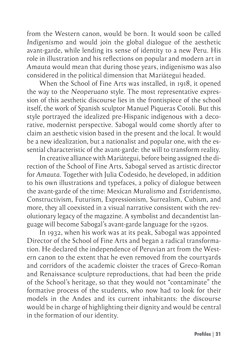from the Western canon, would be born. It would soon be called *Indigenismo* and would join the global dialogue of the aesthetic avant-garde, while lending its sense of identity to a new Peru. His role in illustration and his reflections on popular and modern art in *Amauta* would mean that during those years, indigenismo was also considered in the political dimension that Mariátegui headed.

When the School of Fine Arts was installed, in 1918, it opened the way to the *Neoperuano* style. The most representative expression of this aesthetic discourse lies in the frontispiece of the school itself, the work of Spanish sculptor Manuel Piqueras Cotolí. But this style portrayed the idealized pre-Hispanic indigenous with a decorative, modernist perspective. Sabogal would come shortly after to claim an aesthetic vision based in the present and the local. It would be a new idealization, but a nationalist and popular one, with the essential characteristic of the avant-garde: the will to transform reality.

In creative alliance with Mariátegui, before being assigned the direction of the School of Fine Arts, Sabogal served as artistic director for *Amauta*. Together with Julia Codesido, he developed, in addition to his own illustrations and typefaces, a policy of dialogue between the avant-garde of the time: Mexican *Muralismo* and *Estridentismo*, Constructivism, Futurism, Expressionism, Surrealism, Cubism, and more, they all coexisted in a visual narrative consistent with the revolutionary legacy of the magazine. A symbolist and decandentist language will become Sabogal's avant-garde language for the 1920s.

In 1932, when his work was at its peak, Sabogal was appointed Director of the School of Fine Arts and began a radical transformation. He declared the independence of Peruvian art from the Western canon to the extent that he even removed from the courtyards and corridors of the academic cloister the traces of Greco-Roman and Renaissance sculpture reproductions, that had been the pride of the School's heritage, so that they would not "contaminate" the formative process of the students, who now had to look for their models in the Andes and its current inhabitants: the discourse would be in charge of highlighting their dignity and would be central in the formation of our identity.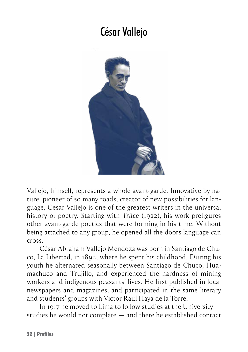#### César Vallejo

<span id="page-21-0"></span>

Vallejo, himself, represents a whole avant-garde. Innovative by nature, pioneer of so many roads, creator of new possibilities for language, César Vallejo is one of the greatest writers in the universal history of poetry. Starting with *Trilce* (1922), his work prefigures other avant-garde poetics that were forming in his time. Without being attached to any group, he opened all the doors language can cross.

César Abraham Vallejo Mendoza was born in Santiago de Chuco, La Libertad, in 1892, where he spent his childhood. During his youth he alternated seasonally between Santiago de Chuco, Huamachuco and Trujillo, and experienced the hardness of mining workers and indigenous peasants' lives. He first published in local newspapers and magazines, and participated in the same literary and students' groups with Víctor Raúl Haya de la Torre.

In 1917 he moved to Lima to follow studies at the University  $$ studies he would not complete — and there he established contact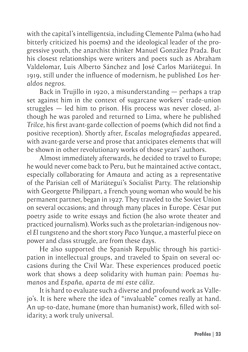with the capital's intelligentsia, including Clemente Palma (who had bitterly criticized his poems) and the ideological leader of the progressive youth, the anarchist thinker Manuel González Prada. But his closest relationships were writers and poets such as Abraham Valdelomar, Luis Alberto Sánchez and José Carlos Mariátegui. In 1919, still under the influence of modernism, he published *Los heraldos negros*.

Back in Trujillo in 1920, a misunderstanding — perhaps a trap set against him in the context of sugarcane workers' trade-union struggles — led him to prison. His process was never closed, although he was paroled and returned to Lima, where he published *Trilce*, his first avant-garde collection of poems (which did not find a positive reception). Shortly after, *Escalas melografiadas* appeared, with avant-garde verse and prose that anticipates elements that will be shown in other revolutionary works of those years' authors.

Almost immediately afterwards, he decided to travel to Europe; he would never come back to Peru, but he maintained active contact, especially collaborating for *Amauta* and acting as a representative of the Parisian cell of Mariátegui's Socialist Party. The relationship with Georgette Philippart, a French young woman who would be his permanent partner, began in 1927. They traveled to the Soviet Union on several occasions; and through many places in Europe. César put poetry aside to write essays and fiction (he also wrote theater and practiced journalism). Works such as the proletarian-indigenous novel *El tungsteno* and the short story *Paco Yunque*, a masterful piece on power and class struggle, are from these days.

He also supported the Spanish Republic through his participation in intellectual groups, and traveled to Spain on several occasions during the Civil War. These experiences produced poetic work that shows a deep solidarity with human pain: *Poemas humanos* and *España, aparta de mí este cáliz*.

It is hard to evaluate such a diverse and profound work as Vallejo's. It is here where the idea of "invaluable" comes really at hand. An up-to-date, humane (more than humanist) work, filled with solidarity; a work truly universal.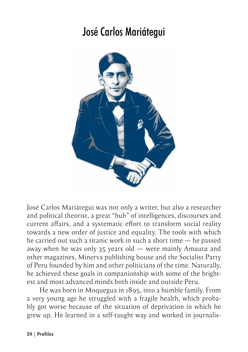## José Carlos Mariátegui

<span id="page-23-0"></span>

José Carlos Mariátegui was not only a writer, but also a researcher and political theorist, a great "hub" of intelligences, discourses and current affairs, and a systematic effort to transform social reality towards a new order of justice and equality. The tools with which he carried out such a titanic work in such a short time — he passed away when he was only 35 years old — were mainly *Amauta* and other magazines, Minerva publishing house and the Socialist Party of Peru founded by him and other politicians of the time. Naturally, he achieved these goals in companionship with some of the brightest and most advanced minds both inside and outside Peru.

He was born in Moquegua in 1895, into a humble family. From a very young age he struggled with a fragile health, which probably got worse because of the situation of deprivation in which he grew up. He learned in a self-taught way and worked in journalis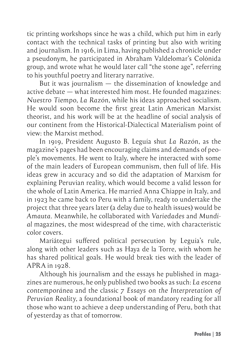tic printing workshops since he was a child, which put him in early contact with the technical tasks of printing but also with writing and journalism. In 1916, in Lima, having published a chronicle under a pseudonym, he participated in Abraham Valdelomar's Colónida group, and wrote what he would later call "the stone age", referring to his youthful poetry and literary narrative.

But it was journalism — the dissemination of knowledge and active debate — what interested him most. He founded magazines: *Nuestro Tiempo*, *La Razón*, while his ideas approached socialism. He would soon become the first great Latin American Marxist theorist, and his work will be at the headline of social analysis of our continent from the Historical-Dialectical Materialism point of view: the Marxist method.

In 1919, President Augusto B. Leguía shut *La Razón*, as the magazine's pages had been encouraging claims and demands of people's movements. He went to Italy, where he interacted with some of the main leaders of European communism, then full of life. His ideas grew in accuracy and so did the adaptation of Marxism for explaining Peruvian reality, which would become a valid lesson for the whole of Latin America. He married Anna Chiappe in Italy, and in 1923 he came back to Peru with a family, ready to undertake the project that three years later (a delay due to health issues) would be *Amauta*. Meanwhile, he collaborated with *Variedades* and *Mundial* magazines, the most widespread of the time, with characteristic color covers.

Mariátegui suffered political persecution by Leguía's rule, along with other leaders such as Haya de la Torre, with whom he has shared political goals. He would break ties with the leader of APRA in 1928.

Although his journalism and the essays he published in magazines are numerous, he only published two books as such: *La escena contemporánea* and the classic *7 Essays on the Interpretation of Peruvian Reality*, a foundational book of mandatory reading for all those who want to achieve a deep understanding of Peru, both that of yesterday as that of tomorrow.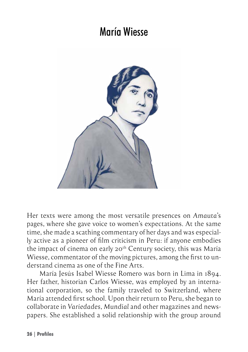#### María Wiesse

<span id="page-25-0"></span>

Her texts were among the most versatile presences on *Amauta*'s pages, where she gave voice to women's expectations. At the same time, she made a scathing commentary of her days and was especially active as a pioneer of film criticism in Peru: if anyone embodies the impact of cinema on early  $20<sup>th</sup>$  Century society, this was María Wiesse, commentator of the moving pictures, among the first to understand cinema as one of the Fine Arts.

María Jesús Isabel Wiesse Romero was born in Lima in 1894. Her father, historian Carlos Wiesse, was employed by an international corporation, so the family traveled to Switzerland, where María attended first school. Upon their return to Peru, she began to collaborate in *Variedades*, *Mundial* and other magazines and newspapers. She established a solid relationship with the group around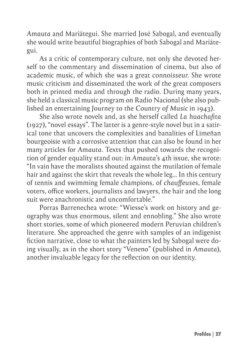*Amauta* and Mariátegui. She married José Sabogal, and eventually she would write beautiful biographies of both Sabogal and Mariátegui.

As a critic of contemporary culture, not only she devoted herself to the commentary and dissemination of cinema, but also of academic music, of which she was a great *connoisseur*. She wrote music criticism and disseminated the work of the great composers both in printed media and through the radio. During many years, she held a classical music program on Radio Nacional (she also published an entertaining *Journey to the Country of Music* in 1943).

She also wrote novels and, as she herself called *La huachafita*  (1927), "novel essays". The latter is a genre-style novel but in a satirical tone that uncovers the complexities and banalities of Limeñan bourgeoisie with a corrosive attention that can also be found in her many articles for *Amauta*. Texts that pushed towards the recognition of gender equality stand out: in *Amauta*'s 4th issue, she wrote: "In vain have the moralists shouted against the mutilation of female hair and against the skirt that reveals the whole leg… In this century of tennis and swimming female champions, of *chauffeuses*, female voters, office workers, journalists and lawyers, the hair and the long suit were anachronistic and uncomfortable."

Porras Barrenechea wrote: "Wiesse's work on history and geography was thus enormous, silent and ennobling." She also wrote short stories, some of which pioneered modern Peruvian children's literature. She approached the genre with samples of an indigenist fiction narrative, close to what the painters led by Sabogal were doing visually, as in the short story "Veneno" (published in *Amauta*), another invaluable legacy for the reflection on our identity.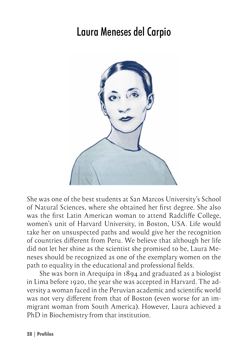#### Laura Meneses del Carpio

<span id="page-27-0"></span>

She was one of the best students at San Marcos University's School of Natural Sciences, where she obtained her first degree. She also was the first Latin American woman to attend Radcliffe College, women's unit of Harvard University, in Boston, USA. Life would take her on unsuspected paths and would give her the recognition of countries different from Peru. We believe that although her life did not let her shine as the scientist she promised to be, Laura Meneses should be recognized as one of the exemplary women on the path to equality in the educational and professional fields.

She was born in Arequipa in 1894 and graduated as a biologist in Lima before 1920, the year she was accepted in Harvard. The adversity a woman faced in the Peruvian academic and scientific world was not very different from that of Boston (even worse for an immigrant woman from South America). However, Laura achieved a PhD in Biochemistry from that institution.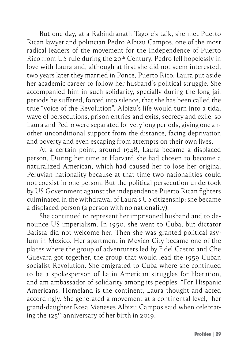But one day, at a Rabindranath Tagore's talk, she met Puerto Rican lawyer and politician Pedro Albizu Campos, one of the most radical leaders of the movement for the Independence of Puerto Rico from US rule during the 20<sup>th</sup> Century. Pedro fell hopelessly in love with Laura and, although at first she did not seem interested, two years later they married in Ponce, Puerto Rico. Laura put aside her academic career to follow her husband's political struggle. She accompanied him in such solidarity, specially during the long jail periods he suffered, forced into silence, that she has been called the true "voice of the Revolution". Albizu's life would turn into a tidal wave of persecutions, prison entries and exits, secrecy and exile, so Laura and Pedro were separated for very long periods, giving one another unconditional support from the distance, facing deprivation and poverty and even escaping from attempts on their own lives.

At a certain point, around 1948, Laura became a displaced person. During her time at Harvard she had chosen to become a naturalized American, which had caused her to lose her original Peruvian nationality because at that time two nationalities could not coexist in one person. But the political persecution undertook by US Government against the independence Puerto Rican fighters culminated in the withdrawal of Laura's US citizenship: she became a displaced person (a person with no nationality).

She continued to represent her imprisoned husband and to denounce US imperialism. In 1950, she went to Cuba, but dictator Batista did not welcome her. Then she was granted political asylum in Mexico. Her apartment in Mexico City became one of the places where the group of adventurers led by Fidel Castro and Che Guevara got together, the group that would lead the 1959 Cuban socialist Revolution. She emigrated to Cuba where she continued to be a spokesperson of Latin American struggles for liberation, and am ambassador of solidarity among its peoples. "For Hispanic Americans, Homeland is the continent, Laura thought and acted accordingly. She generated a movement at a continental level," her grand-daughter Rosa Meneses Albizu Campos said when celebrating the 125th anniversary of her birth in 2019.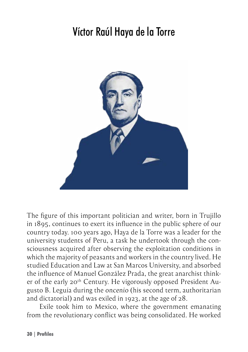# <span id="page-29-0"></span>Víctor Raúl Haya de la Torre



The figure of this important politician and writer, born in Trujillo in 1895, continues to exert its influence in the public sphere of our country today. 100 years ago, Haya de la Torre was a leader for the university students of Peru, a task he undertook through the consciousness acquired after observing the exploitation conditions in which the majority of peasants and workers in the country lived. He studied Education and Law at San Marcos University, and absorbed the influence of Manuel González Prada, the great anarchist thinker of the early 20<sup>th</sup> Century. He vigorously opposed President Augusto B. Leguía during the *oncenio* (his second term, authoritarian and dictatorial) and was exiled in 1923, at the age of 28.

Exile took him to Mexico, where the government emanating from the revolutionary conflict was being consolidated. He worked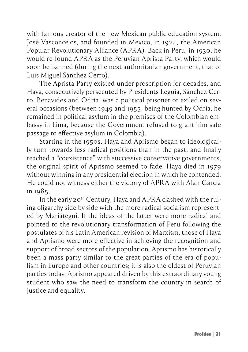with famous creator of the new Mexican public education system, José Vasconcelos, and founded in Mexico, in 1924, the American Popular Revolutionary Alliance (APRA). Back in Peru, in 1930, he would re-found APRA as the Peruvian Aprista Party, which would soon be banned (during the next authoritarian government, that of Luis Miguel Sánchez Cerro).

The Aprista Party existed under proscription for decades, and Haya, consecutively persecuted by Presidents Leguía, Sánchez Cerro, Benavides and Odría, was a political prisoner or exiled on several occasions (between 1949 and 1955, being hunted by Odría, he remained in political asylum in the premises of the Colombian embassy in Lima, because the Government refused to grant him safe passage to effective asylum in Colombia).

Starting in the 1950s, Haya and Aprismo began to ideologically turn towards less radical positions than in the past, and finally reached a "coexistence" with successive conservative governments; the original spirit of Aprismo seemed to fade. Haya died in 1979 without winning in any presidential election in which he contended. He could not witness either the victory of APRA with Alan García in 1985.

In the early 20<sup>th</sup> Century, Haya and APRA clashed with the ruling oligarchy side by side with the more radical socialism represented by Mariátegui. If the ideas of the latter were more radical and pointed to the revolutionary transformation of Peru following the postulates of his Latin American revision of Marxism, those of Haya and Aprismo were more effective in achieving the recognition and support of broad sectors of the population. Aprismo has historically been a mass party similar to the great parties of the era of populism in Europe and other countries; it is also the oldest of Peruvian parties today. Aprismo appeared driven by this extraordinary young student who saw the need to transform the country in search of justice and equality.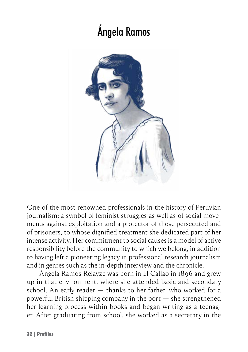# Ángela Ramos

<span id="page-31-0"></span>

One of the most renowned professionals in the history of Peruvian journalism; a symbol of feminist struggles as well as of social movements against exploitation and a protector of those persecuted and of prisoners, to whose dignified treatment she dedicated part of her intense activity. Her commitment to social causes is a model of active responsibility before the community to which we belong, in addition to having left a pioneering legacy in professional research journalism and in genres such as the in-depth interview and the chronicle.

Ángela Ramos Relayze was born in El Callao in 1896 and grew up in that environment, where she attended basic and secondary school. An early reader — thanks to her father, who worked for a powerful British shipping company in the port — she strengthened her learning process within books and began writing as a teenager. After graduating from school, she worked as a secretary in the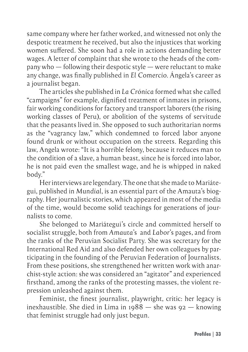same company where her father worked, and witnessed not only the despotic treatment he received, but also the injustices that working women suffered. She soon had a role in actions demanding better wages. A letter of complaint that she wrote to the heads of the company who — following their despotic style — were reluctant to make any change, was finally published in *El Comercio*. Ángela's career as a journalist began.

The articles she published in *La Crónica* formed what she called "campaigns" for example, dignified treatment of inmates in prisons, fair working conditions for factory and transport laborers (the rising working classes of Peru), or abolition of the systems of servitude that the peasants lived in. She opposed to such authoritarian norms as the "vagrancy law," which condemned to forced labor anyone found drunk or without occupation on the streets. Regarding this law, Angela wrote: "It is a horrible felony, because it reduces man to the condition of a slave, a human beast, since he is forced into labor, he is not paid even the smallest wage, and he is whipped in naked body."

Her interviews are legendary. The one that she made to Mariátegui, published in *Mundial*, is an essential part of the Amauta's biography. Her journalistic stories, which appeared in most of the media of the time, would become solid teachings for generations of journalists to come.

She belonged to Mariátegui's circle and committed herself to socialist struggle, both from *Amauta*'s and *Labor*'s pages, and from the ranks of the Peruvian Socialist Party. She was secretary for the International Red Aid and also defended her own colleagues by participating in the founding of the Peruvian Federation of Journalists. From these positions, she strengthened her written work with anarchist-style action: she was considered an "agitator" and experienced firsthand, among the ranks of the protesting masses, the violent repression unleashed against them.

Feminist, the finest journalist, playwright, critic: her legacy is inexhaustible. She died in Lima in  $1988 -$  she was  $92 -$  knowing that feminist struggle had only just begun.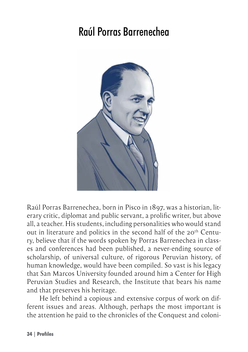# <span id="page-33-0"></span>Raúl Porras Barrenechea



Raúl Porras Barrenechea, born in Pisco in 1897, was a historian, literary critic, diplomat and public servant, a prolific writer, but above all, a teacher. His students, including personalities who would stand out in literature and politics in the second half of the 20<sup>th</sup> Century, believe that if the words spoken by Porras Barrenechea in classes and conferences had been published, a never-ending source of scholarship, of universal culture, of rigorous Peruvian history, of human knowledge, would have been compiled. So vast is his legacy that San Marcos University founded around him a Center for High Peruvian Studies and Research, the Institute that bears his name and that preserves his heritage.

He left behind a copious and extensive corpus of work on different issues and areas. Although, perhaps the most important is the attention he paid to the chronicles of the Conquest and coloni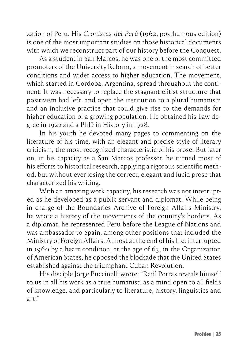zation of Peru. His *Cronistas del Perú* (1962, posthumous edition) is one of the most important studies on those historical documents with which we reconstruct part of our history before the Conquest.

As a student in San Marcos, he was one of the most committed promoters of the University Reform, a movement in search of better conditions and wider access to higher education. The movement, which started in Cordoba, Argentina, spread throughout the continent. It was necessary to replace the stagnant elitist structure that positivism had left, and open the institution to a plural humanism and an inclusive practice that could give rise to the demands for higher education of a growing population. He obtained his Law degree in 1922 and a PhD in History in 1928.

In his youth he devoted many pages to commenting on the literature of his time, with an elegant and precise style of literary criticism, the most recognized characteristic of his prose. But later on, in his capacity as a San Marcos professor, he turned most of his efforts to historical research, applying a rigorous scientific method, but without ever losing the correct, elegant and lucid prose that characterized his writing.

With an amazing work capacity, his research was not interrupted as he developed as a public servant and diplomat. While being in charge of the Boundaries Archive of Foreign Affairs Ministry, he wrote a history of the movements of the country's borders. As a diplomat, he represented Peru before the League of Nations and was ambassador to Spain, among other positions that included the Ministry of Foreign Affairs. Almost at the end of his life, interrupted in 1960 by a heart condition, at the age of 63, in the Organization of American States, he opposed the blockade that the United States established against the triumphant Cuban Revolution.

His disciple Jorge Puccinelli wrote: "Raúl Porras reveals himself to us in all his work as a true humanist, as a mind open to all fields of knowledge, and particularly to literature, history, linguistics and art."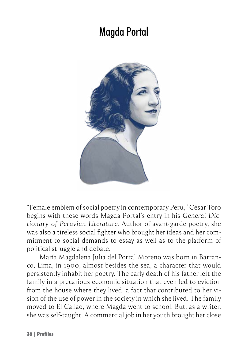## Magda Portal

<span id="page-35-0"></span>

"Female emblem of social poetry in contemporary Peru," César Toro begins with these words Magda Portal's entry in his *General Dictionary of Peruvian Literature*. Author of avant-garde poetry, she was also a tireless social fighter who brought her ideas and her commitment to social demands to essay as well as to the platform of political struggle and debate.

María Magdalena Julia del Portal Moreno was born in Barranco, Lima, in 1900, almost besides the sea, a character that would persistently inhabit her poetry. The early death of his father left the family in a precarious economic situation that even led to eviction from the house where they lived, a fact that contributed to her vision of the use of power in the society in which she lived. The family moved to El Callao, where Magda went to school. But, as a writer, she was self-taught. A commercial job in her youth brought her close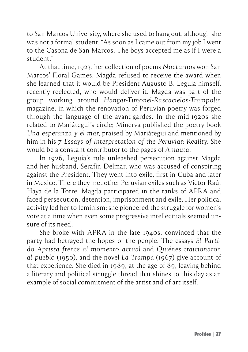to San Marcos University, where she used to hang out, although she was not a formal student: "As soon as I came out from my job I went to the Casona de San Marcos. The boys accepted me as if I were a student."

At that time, 1923, her collection of poems *Nocturnos* won San Marcos' Floral Games. Magda refused to receive the award when she learned that it would be President Augusto B. Leguía himself, recently reelected, who would deliver it. Magda was part of the group working around *Hangar-Timonel-Rascacielos-Trampolín*  magazine, in which the renovation of Peruvian poetry was forged through the language of the avant-gardes. In the mid-1920s she related to Mariátegui's circle; Minerva published the poetry book *Una esperanza y el mar*, praised by Mariátegui and mentioned by him in his *7 Essays of Interpretation of the Peruvian Reality*. She would be a constant contributor to the pages of *Amauta*.

In 1926, Leguía's rule unleashed persecution against Magda and her husband, Serafín Delmar, who was accused of conspiring against the President. They went into exile, first in Cuba and later in Mexico. There they met other Peruvian exiles such as Víctor Raúl Haya de la Torre. Magda participated in the ranks of APRA and faced persecution, detention, imprisonment and exile. Her political activity led her to feminism; she pioneered the struggle for women's vote at a time when even some progressive intellectuals seemed unsure of its need.

She broke with APRA in the late 1940s, convinced that the party had betrayed the hopes of the people. The essays *El Partido Aprista frente al momento actual* and *Quiénes traicionaron al pueblo* (1950), and the novel *La Trampa* (1967) give account of that experience. She died in 1989, at the age of 89, leaving behind a literary and political struggle thread that shines to this day as an example of social commitment of the artist and of art itself.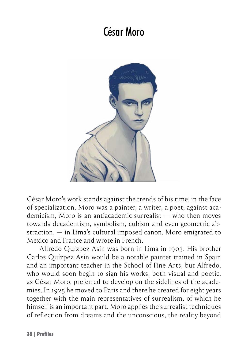# César Moro

<span id="page-37-0"></span>

César Moro's work stands against the trends of his time: in the face of specialization, Moro was a painter, a writer, a poet; against academicism, Moro is an antiacademic surrealist — who then moves towards decadentism, symbolism, cubism and even geometric abstraction, — in Lima's cultural imposed canon, Moro emigrated to Mexico and France and wrote in French.

Alfredo Quízpez Asín was born in Lima in 1903. His brother Carlos Quízpez Asín would be a notable painter trained in Spain and an important teacher in the School of Fine Arts, but Alfredo, who would soon begin to sign his works, both visual and poetic, as César Moro, preferred to develop on the sidelines of the academies. In 1925 he moved to Paris and there he created for eight years together with the main representatives of surrealism, of which he himself is an important part. Moro applies the surrealist techniques of reflection from dreams and the unconscious, the reality beyond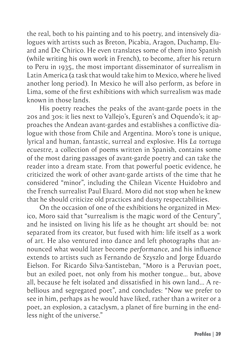the real, both to his painting and to his poetry, and intensively dialogues with artists such as Breton, Picabia, Aragon, Duchamp, Eluard and De Chirico. He even translates some of them into Spanish (while writing his own work in French), to become, after his return to Peru in 1935, the most important disseminator of surrealism in Latin America (a task that would take him to Mexico, where he lived another long period). In Mexico he will also perform, as before in Lima, some of the first exhibitions with which surrealism was made known in those lands.

His poetry reaches the peaks of the avant-garde poets in the 20s and 30s: it lies next to Vallejo's, Eguren's and Oquendo's; it approaches the Andean avant-gardes and establishes a conflictive dialogue with those from Chile and Argentina. Moro's tone is unique, lyrical and human, fantastic, surreal and explosive. His *La tortuga ecuestre*, a collection of poems written in Spanish, contains some of the most daring passages of avant-garde poetry and can take the reader into a dream state. From that powerful poetic evidence, he criticized the work of other avant-garde artists of the time that he considered "minor", including the Chilean Vicente Huidobro and the French surrealist Paul Eluard. Moro did not stop when he knew that he should criticize old practices and dusty respectabilities.

On the occasion of one of the exhibitions he organized in Mexico, Moro said that "surrealism is the magic word of the Century", and he insisted on living his life as he thought art should be: not separated from its creator, but fused with him: life itself as a work of art. He also ventured into dance and left photographs that announced what would later become *performance*, and his influence extends to artists such as Fernando de Szyszlo and Jorge Eduardo Eielson. For Ricardo Silva-Santisteban, "Moro is a Peruvian poet, but an exiled poet, not only from his mother tongue… but, above all, because he felt isolated and dissatisfied in his own land… A rebellious and segregated poet", and concludes: "Now we prefer to see in him, perhaps as he would have liked, rather than a writer or a poet, an explosion, a cataclysm, a planet of fire burning in the endless night of the universe."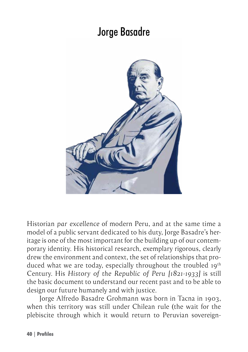### Jorge Basadre

<span id="page-39-0"></span>

Historian *par excellence* of modern Peru, and at the same time a model of a public servant dedicated to his duty, Jorge Basadre's heritage is one of the most important for the building up of our contemporary identity. His historical research, exemplary rigorous, clearly drew the environment and context, the set of relationships that produced what we are today, especially throughout the troubled 19<sup>th</sup> Century. His *History of the Republic of Peru [1821-1933]* is still the basic document to understand our recent past and to be able to design our future humanely and with justice.

Jorge Alfredo Basadre Grohmann was born in Tacna in 1903, when this territory was still under Chilean rule (the wait for the plebiscite through which it would return to Peruvian sovereign-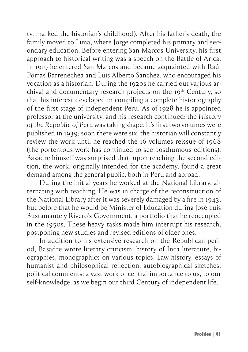ty, marked the historian's childhood). After his father's death, the family moved to Lima, where Jorge completed his primary and secondary education. Before entering San Marcos University, his first approach to historical writing was a speech on the Battle of Arica. In 1919 he entered San Marcos and became acquainted with Raúl Porras Barrenechea and Luis Alberto Sánchez, who encouraged his vocation as a historian. During the 1920s he carried out various archival and documentary research projects on the 19<sup>th</sup> Century, so that his interest developed in compiling a complete historiography of the first stage of independent Peru. As of 1928 he is appointed professor at the university, and his research continued: the *History of the Republic of Peru* was taking shape. It's first two volumes were published in 1939; soon there were six; the historian will constantly review the work until he reached the 16 volumes reissue of 1968 (the portentous work has continued to see posthumous editions). Basadre himself was surprised that, upon reaching the second edition, the work, originally intended for the academy, found a great demand among the general public, both in Peru and abroad.

During the initial years he worked at the National Library, alternating with teaching. He was in charge of the reconstruction of the National Library after it was severely damaged by a fire in 1943, but before that he would be Minister of Education during José Luis Bustamante y Rivero's Government, a portfolio that he reoccupied in the 1950s. These heavy tasks made him interrupt his research, postponing new studies and revised editions of older ones.

In addition to his extensive research on the Republican period, Basadre wrote literary criticism, history of Inca literature, biographies, monographics on various topics, Law history, essays of humanist and philosophical reflection, autobiographical sketches, political comments; a vast work of central importance to us, to our self-knowledge, as we begin our third Century of independent life.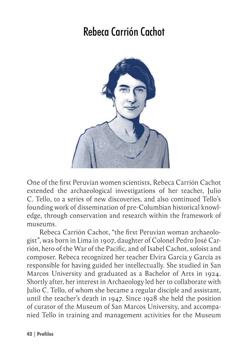#### Rebeca Carrión Cachot

<span id="page-41-0"></span>

One of the first Peruvian women scientists, Rebeca Carrión Cachot extended the archaeological investigations of her teacher, Julio C. Tello, to a series of new discoveries, and also continued Tello's founding work of dissemination of pre-Columbian historical knowledge, through conservation and research within the framework of museums.

Rebeca Carrión Cachot, "the first Peruvian woman archaeologist", was born in Lima in 1907, daughter of Colonel Pedro José Carrión, hero of the War of the Pacific, and of Isabel Cachot, soloist and composer. Rebeca recognized her teacher Elvira García y García as responsible for having guided her intellectually. She studied in San Marcos University and graduated as a Bachelor of Arts in 1924. Shortly after, her interest in Archaeology led her to collaborate with Julio C. Tello, of whom she became a regular disciple and assistant, until the teacher's death in 1947. Since 1928 she held the position of curator of the Museum of San Marcos University, and accompanied Tello in training and management activities for the Museum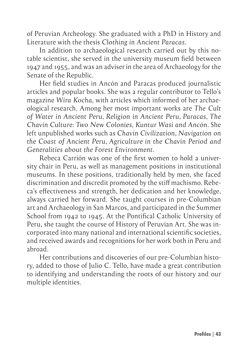of Peruvian Archeology. She graduated with a PhD in History and Literature with the thesis *Clothing in Ancient Paracas*.

In addition to archaeological research carried out by this notable scientist, she served in the university museum field between 1947 and 1955, and was an adviser in the area of Archaeology for the Senate of the Republic.

Her field studies in Ancón and Paracas produced journalistic articles and popular books. She was a regular contributor to Tello's magazine *Wira Kocha*, with articles which informed of her archaeological research. Among her most important works are *The Cult of Water in Ancient Peru*, *Religion in Ancient Peru*, *Paracas*, *The Chavín Culture: Two New Colonies, Kuntur Wasi and Ancón*. She left unpublished works such as *Chavín Civilization*, *Navigation on the Coast of Ancient Peru*, *Agriculture in the Chavín Period and Generalities about the Forest Environment*.

Rebeca Carrión was one of the first women to hold a university chair in Peru, as well as management positions in institutional museums. In these positions, traditionally held by men, she faced discrimination and discredit promoted by the stiff machismo. Rebeca's effectiveness and strength, her dedication and her knowledge, always carried her forward. She taught courses in pre-Columbian art and Archaeology in San Marcos, and participated in the Summer School from 1942 to 1945. At the Pontifical Catholic University of Peru, she taught the course of History of Peruvian Art. She was incorporated into many national and international scientific societies, and received awards and recognitions for her work both in Peru and abroad.

Her contributions and discoveries of our pre-Columbian history, added to those of Julio C. Tello, have made a great contribution to identifying and understanding the roots of our history and our multiple identities.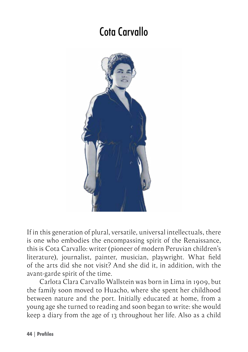## Cota Carvallo

<span id="page-43-0"></span>

If in this generation of plural, versatile, universal intellectuals, there is one who embodies the encompassing spirit of the Renaissance, this is Cota Carvallo: writer (pioneer of modern Peruvian children's literature), journalist, painter, musician, playwright. What field of the arts did she not visit? And she did it, in addition, with the avant-garde spirit of the time.

Carlota Clara Carvallo Wallstein was born in Lima in 1909, but the family soon moved to Huacho, where she spent her childhood between nature and the port. Initially educated at home, from a young age she turned to reading and soon began to write: she would keep a diary from the age of 13 throughout her life. Also as a child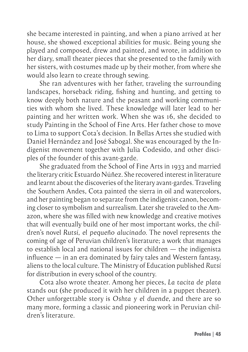she became interested in painting, and when a piano arrived at her house, she showed exceptional abilities for music. Being young she played and composed, drew and painted, and wrote, in addition to her diary, small theater pieces that she presented to the family with her sisters, with costumes made up by their mother, from where she would also learn to create through sewing.

She ran adventures with her father, traveling the surrounding landscapes, horseback riding, fishing and hunting, and getting to know deeply both nature and the peasant and working communities with whom she lived. These knowledge will later lead to her painting and her written work. When she was 16, she decided to study Painting in the School of Fine Arts. Her father chose to move to Lima to support Cota's decision. In Bellas Artes she studied with Daniel Hernández and José Sabogal. She was encouraged by the Indigenist movement together with Julia Codesido, and other disciples of the founder of this avant-garde.

She graduated from the School of Fine Arts in 1933 and married the literary critic Estuardo Núñez. She recovered interest in literature and learnt about the discoveries of the literary avant-gardes. Traveling the Southern Andes, Cota painted the sierra in oil and watercolors, and her painting began to separate from the indigenist canon, becoming closer to symbolism and surrealism. Later she traveled to the Amazon, where she was filled with new knowledge and creative motives that will eventually build one of her most important works, the children's novel *Rutsí, el pequeño alucinado*. The novel represents the coming of age of Peruvian children's literature; a work that manages to establish local and national issues for children — the indigenista influence — in an era dominated by fairy tales and Western fantasy, aliens to the local culture. The Ministry of Education published *Rutsí* for distribution in every school of the country.

Cota also wrote theater. Among her pieces, *La tacita de plata*  stands out (she produced it with her children in a puppet theater). Other unforgettable story is *Oshta y el duende*, and there are so many more, forming a classic and pioneering work in Peruvian children's literature.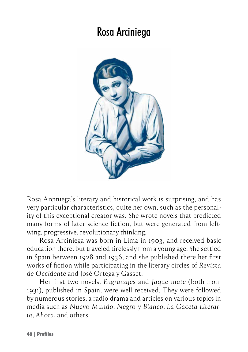#### Rosa Arciniega

<span id="page-45-0"></span>

Rosa Arciniega's literary and historical work is surprising, and has very particular characteristics, quite her own, such as the personality of this exceptional creator was. She wrote novels that predicted many forms of later science fiction, but were generated from leftwing, progressive, revolutionary thinking.

Rosa Arciniega was born in Lima in 1903, and received basic education there, but traveled tirelessly from a young age. She settled in Spain between 1928 and 1936, and she published there her first works of fiction while participating in the literary circles of *Revista de Occidente* and José Ortega y Gasset.

Her first two novels, *Engranajes* and *Jaque mate* (both from 1931), published in Spain, were well received. They were followed by numerous stories, a radio drama and articles on various topics in media such as *Nuevo Mundo*, *Negro y Blanco*, *La Gaceta Literaria*, *Ahora*, and others.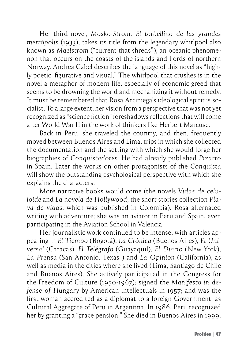Her third novel, *Mosko-Strom. El torbellino de las grandes metrópolis* (1933), takes its title from the legendary whirlpool also known as *Maelstrom* ("current that shreds"), an oceanic phenomenon that occurs on the coasts of the islands and fiords of northern Norway. Andrea Cabel describes the language of this novel as "highly poetic, figurative and visual." The whirlpool that crushes is in the novel a metaphor of modern life, especially of economic greed that seems to be drowning the world and mechanizing it without remedy. It must be remembered that Rosa Arciniega's ideological spirit is socialist. To a large extent, her vision from a perspective that was not yet recognized as "science fiction" foreshadows reflections that will come after World War II in the work of thinkers like Herbert Marcuse.

Back in Peru, she traveled the country, and then, frequently moved between Buenos Aires and Lima, trips in which she collected the documentation and the setting with which she would forge her biographies of *Conquistadores*. He had already published *Pizarro* in Spain. Later the works on other protagonists of the *Conquista* will show the outstanding psychological perspective with which she explains the characters.

More narrative books would come (the novels *Vidas de celuloide* and *La novela de Hollywood*; the short stories collection *Playa de vidas*, which was published in Colombia). Rosa alternated writing with adventure: she was an aviator in Peru and Spain, even participating in the Aviation School in Valencia.

Her journalistic work continued to be intense, with articles appearing in *El Tiempo* (Bogotá), *La Crónica* (Buenos Aires), *El Universal* (Caracas), *El Telégrafo* (Guayaquil), *El Diario* (New York), *La Prensa* (San Antonio, Texas ) and *La Opinion* (California), as well as media in the cities where she lived (Lima, Santiago de Chile and Buenos Aires). She actively participated in the Congress for the Freedom of Culture (1950-1967); signed the *Manifesto in defense of Hungary* by American intellectuals in 1957; and was the first woman accredited as a diplomat to a foreign Government, as Cultural Aggregate of Peru in Argentina. In 1986, Peru recognized her by granting a "grace pension." She died in Buenos Aires in 1999.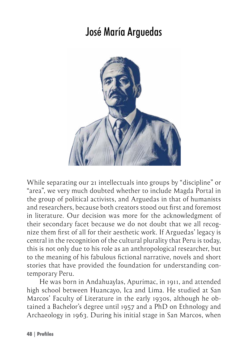## José María Arguedas

<span id="page-47-0"></span>

While separating our 21 intellectuals into groups by "discipline" or "area", we very much doubted whether to include Magda Portal in the group of political activists, and Arguedas in that of humanists and researchers, because both creators stood out first and foremost in literature. Our decision was more for the acknowledgment of their secondary facet because we do not doubt that we all recognize them first of all for their aesthetic work. If Arguedas' legacy is central in the recognition of the cultural plurality that Peru is today, this is not only due to his role as an anthropological researcher, but to the meaning of his fabulous fictional narrative, novels and short stories that have provided the foundation for understanding contemporary Peru.

He was born in Andahuaylas, Apurímac, in 1911, and attended high school between Huancayo, Ica and Lima. He studied at San Marcos' Faculty of Literature in the early 1930s, although he obtained a Bachelor's degree until 1957 and a PhD on Ethnology and Archaeology in 1963. During his initial stage in San Marcos, when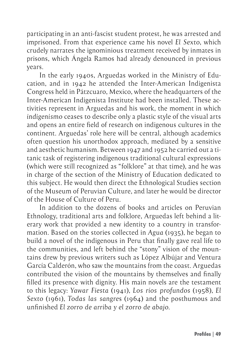participating in an anti-fascist student protest, he was arrested and imprisoned. From that experience came his novel *El Sexto*, which crudely narrates the ignominious treatment received by inmates in prisons, which Ángela Ramos had already denounced in previous years.

In the early 1940s, Arguedas worked in the Ministry of Education, and in 1942 he attended the Inter-American Indigenista Congress held in Pátzcuaro, Mexico, where the headquarters of the Inter-American Indigenista Institute had been installed. These activities represent in Arguedas and his work, the moment in which *indigenismo* ceases to describe only a plastic style of the visual arts and opens an entire field of research on indigenous cultures in the continent. Arguedas' role here will be central, although academics often question his unorthodox approach, mediated by a sensitive and aesthetic humanism. Between 1947 and 1952 he carried out a titanic task of registering indigenous traditional cultural expressions (which were still recognized as "folklore" at that time), and he was in charge of the section of the Ministry of Education dedicated to this subject. He would then direct the Ethnological Studies section of the Museum of Peruvian Culture, and later he would be director of the House of Culture of Peru.

In addition to the dozens of books and articles on Peruvian Ethnology, traditional arts and folklore, Arguedas left behind a literary work that provided a new identity to a country in transformation. Based on the stories collected in *Agua* (1935), he began to build a novel of the indigenous in Peru that finally gave real life to the communities, and left behind the "stony" vision of the mountains drew by previous writers such as López Albújar and Ventura García Calderón, who saw the mountains from the coast. Arguedas contributed the vision of the mountains by themselves and finally filled its presence with dignity. His main novels are the testament to this legacy: *Yawar Fiesta* (1941), *Los ríos profundos* (1958), *El Sexto* (1961), *Todas las sangre*s (1964) and the posthumous and unfinished *El zorro de arriba y el zorro de abajo*.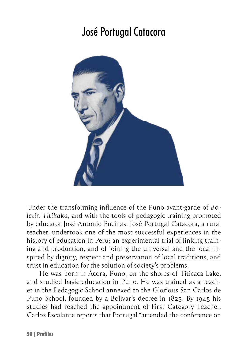## José Portugal Catacora

<span id="page-49-0"></span>

Under the transforming influence of the Puno avant-garde of *Boletín Titikaka*, and with the tools of pedagogic training promoted by educator José Antonio Encinas, José Portugal Catacora, a rural teacher, undertook one of the most successful experiences in the history of education in Peru; an experimental trial of linking training and production, and of joining the universal and the local inspired by dignity, respect and preservation of local traditions, and trust in education for the solution of society's problems.

He was born in Ácora, Puno, on the shores of Titicaca Lake, and studied basic education in Puno. He was trained as a teacher in the Pedagogic School annexed to the Glorious San Carlos de Puno School, founded by a Bolívar's decree in 1825. By 1945 his studies had reached the appointment of First Category Teacher. Carlos Escalante reports that Portugal "attended the conference on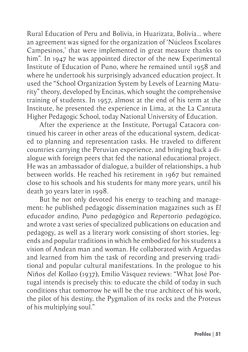Rural Education of Peru and Bolivia, in Huarizata, Bolivia… where an agreement was signed for the organization of 'Núcleos Escolares Campesinos,' that were implemented in great measure thanks to him". In 1947 he was appointed director of the new Experimental Institute of Education of Puno, where he remained until 1958 and where he undertook his surprisingly advanced education project. It used the "School Organization System by Levels of Learning Maturity" theory, developed by Encinas, which sought the comprehensive training of students. In 1957, almost at the end of his term at the Institute, he presented the experience in Lima, at the La Cantuta Higher Pedagogic School, today National University of Education.

After the experience at the Institute, Portugal Catacora continued his career in other areas of the educational system, dedicated to planning and representation tasks. He traveled to different countries carrying the Peruvian experience, and bringing back a dialogue with foreign peers that fed the national educational project. He was an ambassador of dialogue, a builder of relationships, a hub between worlds. He reached his retirement in 1967 but remained close to his schools and his students for many more years, until his death 30 years later in 1998.

But he not only devoted his energy to teaching and management: he published pedagogic dissemination magazines such as *El educador andino*, *Puno pedagógico* and *Repertorio pedagógico*, and wrote a vast series of specialized publications on education and pedagogy, as well as a literary work consisting of short stories, legends and popular traditions in which he embodied for his students a vision of Andean man and woman. He collaborated with Arguedas and learned from him the task of recording and preserving traditional and popular cultural manifestations. In the prologue to his *Niños del Kollao* (1937), Emilio Vásquez reviews: "What José Portugal intends is precisely this: to educate the child of today in such conditions that tomorrow he will be the true architect of his work, the pilot of his destiny, the Pygmalion of its rocks and the Proteus of his multiplying soul."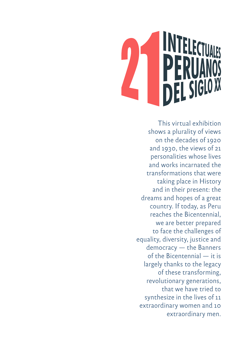This virtual exhibition shows a plurality of views on the decades of 1920 and 1930, the views of 21 personalities whose lives and works incarnated the transformations that were taking place in History and in their present: the dreams and hopes of a great country. If today, as Peru reaches the Bicentennial, we are better prepared to face the challenges of equality, diversity, justice and democracy — the Banners of the Bicentennial — it is largely thanks to the legacy of these transforming, revolutionary generations, that we have tried to synthesize in the lives of 11 extraordinary women and 10 extraordinary men.